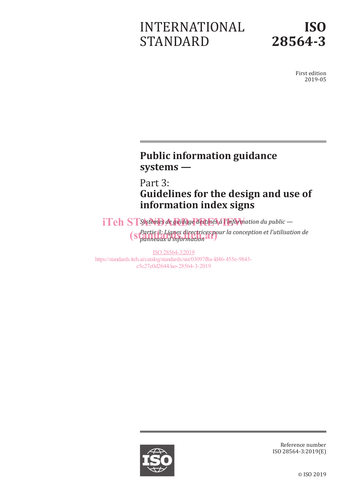# INTERNATIONAL STANDARD



First edition 2019-05

# **Public information guidance systems —**

Part 3:

**Guidelines for the design and use of information index signs**

iTeh STSystèmes de guidage destinés à l'information du public —

*Partie 3: Lignes directrices pour la conception et l'utilisation de (s Partie 3: Lignes directrices polynomissimes)* 

ISO 28564-3:2019 https://standards.iteh.ai/catalog/standards/sist/03097f8a-fd46-455e-9843 c5c27e0d2644/iso-28564-3-2019



Reference number ISO 28564-3:2019(E)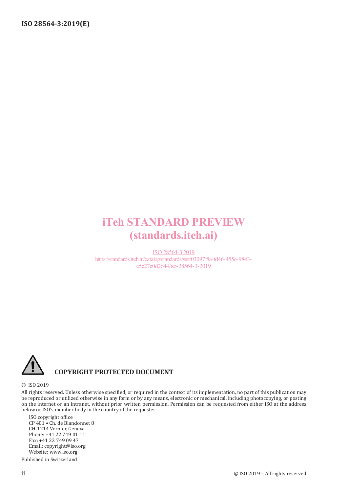# iTeh STANDARD PREVIEW (standards.iteh.ai)

ISO 28564-3:2019 https://standards.iteh.ai/catalog/standards/sist/03097f8a-fd46-455e-9843 c5c27e0d2644/iso-28564-3-2019



### **COPYRIGHT PROTECTED DOCUMENT**

#### © ISO 2019

All rights reserved. Unless otherwise specified, or required in the context of its implementation, no part of this publication may be reproduced or utilized otherwise in any form or by any means, electronic or mechanical, including photocopying, or posting on the internet or an intranet, without prior written permission. Permission can be requested from either ISO at the address below or ISO's member body in the country of the requester.

ISO copyright office CP 401 • Ch. de Blandonnet 8 CH-1214 Vernier, Geneva Phone: +41 22 749 01 11 Fax: +41 22 749 09 47 Email: copyright@iso.org Website: www.iso.org

Published in Switzerland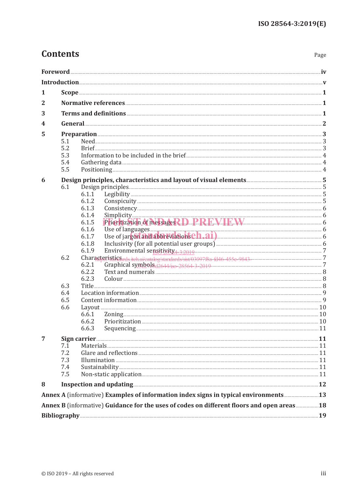# **Contents**

| 1                                                                                         |                                                                                                                                                                                                                                      |                                                                                                 |  |
|-------------------------------------------------------------------------------------------|--------------------------------------------------------------------------------------------------------------------------------------------------------------------------------------------------------------------------------------|-------------------------------------------------------------------------------------------------|--|
| 2                                                                                         |                                                                                                                                                                                                                                      |                                                                                                 |  |
| 3                                                                                         |                                                                                                                                                                                                                                      |                                                                                                 |  |
| 4                                                                                         | <b>General 22 Contract 20 All 20 All 20 All 20 All 20 All 20 All 20 All 20 All 20 All 20 All 20 All 20 All 20 All 20 All 20 All 20 All 20 All 20 All 20 All 20 All 20 All 20 All 20 All 20 All 20 All 20 All 20 All 20 All 20 Al</b> |                                                                                                 |  |
|                                                                                           | Preparation 23                                                                                                                                                                                                                       |                                                                                                 |  |
| 5                                                                                         | 5.1<br>5.2                                                                                                                                                                                                                           |                                                                                                 |  |
|                                                                                           | 5.3                                                                                                                                                                                                                                  |                                                                                                 |  |
|                                                                                           | 5.4                                                                                                                                                                                                                                  |                                                                                                 |  |
|                                                                                           | 5.5                                                                                                                                                                                                                                  | Positioning 4                                                                                   |  |
| 6                                                                                         |                                                                                                                                                                                                                                      |                                                                                                 |  |
|                                                                                           | 6.1                                                                                                                                                                                                                                  |                                                                                                 |  |
|                                                                                           |                                                                                                                                                                                                                                      | 6.1.1                                                                                           |  |
|                                                                                           |                                                                                                                                                                                                                                      | 6.1.2                                                                                           |  |
|                                                                                           |                                                                                                                                                                                                                                      | 6.1.3                                                                                           |  |
|                                                                                           |                                                                                                                                                                                                                                      | 6.1.4<br>Simplicity<br>Prioritization of messagesRDDPREMMIDW<br>6.1.5                           |  |
|                                                                                           |                                                                                                                                                                                                                                      | 6.1.6                                                                                           |  |
|                                                                                           |                                                                                                                                                                                                                                      | Use of jargon and aboreviations ch.ai) Manuscritics of the contract of the contract of<br>6.1.7 |  |
|                                                                                           |                                                                                                                                                                                                                                      | 6.1.8                                                                                           |  |
|                                                                                           |                                                                                                                                                                                                                                      | 6.1.9                                                                                           |  |
|                                                                                           | 6.2                                                                                                                                                                                                                                  |                                                                                                 |  |
|                                                                                           |                                                                                                                                                                                                                                      | 6.2.1                                                                                           |  |
|                                                                                           |                                                                                                                                                                                                                                      | 6.2.2                                                                                           |  |
|                                                                                           |                                                                                                                                                                                                                                      | 6.2.3                                                                                           |  |
|                                                                                           | 6.3                                                                                                                                                                                                                                  |                                                                                                 |  |
|                                                                                           | 6.4<br>6.5                                                                                                                                                                                                                           |                                                                                                 |  |
|                                                                                           | 6.6                                                                                                                                                                                                                                  |                                                                                                 |  |
|                                                                                           |                                                                                                                                                                                                                                      | 6.6.1                                                                                           |  |
|                                                                                           |                                                                                                                                                                                                                                      | 6.6.2                                                                                           |  |
|                                                                                           |                                                                                                                                                                                                                                      | Sequencing 11<br>6.6.3                                                                          |  |
| 7                                                                                         |                                                                                                                                                                                                                                      |                                                                                                 |  |
|                                                                                           | 7.1                                                                                                                                                                                                                                  |                                                                                                 |  |
|                                                                                           | 7.2                                                                                                                                                                                                                                  |                                                                                                 |  |
|                                                                                           | 7.3                                                                                                                                                                                                                                  |                                                                                                 |  |
|                                                                                           | 7.4                                                                                                                                                                                                                                  |                                                                                                 |  |
|                                                                                           | 7.5                                                                                                                                                                                                                                  |                                                                                                 |  |
| 8                                                                                         |                                                                                                                                                                                                                                      |                                                                                                 |  |
| Annex A (informative) Examples of information index signs in typical environments13       |                                                                                                                                                                                                                                      |                                                                                                 |  |
| Annex B (informative) Guidance for the uses of codes on different floors and open areas18 |                                                                                                                                                                                                                                      |                                                                                                 |  |
|                                                                                           |                                                                                                                                                                                                                                      |                                                                                                 |  |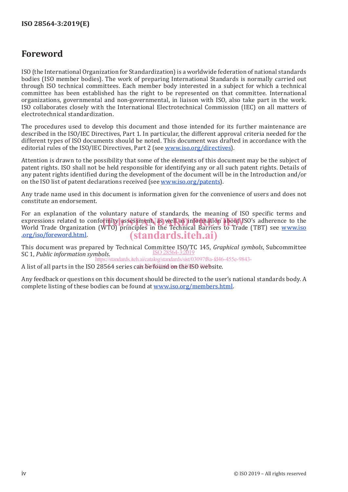### **Foreword**

ISO (the International Organization for Standardization) is a worldwide federation of national standards bodies (ISO member bodies). The work of preparing International Standards is normally carried out through ISO technical committees. Each member body interested in a subject for which a technical committee has been established has the right to be represented on that committee. International organizations, governmental and non-governmental, in liaison with ISO, also take part in the work. ISO collaborates closely with the International Electrotechnical Commission (IEC) on all matters of electrotechnical standardization.

The procedures used to develop this document and those intended for its further maintenance are described in the ISO/IEC Directives, Part 1. In particular, the different approval criteria needed for the different types of ISO documents should be noted. This document was drafted in accordance with the editorial rules of the ISO/IEC Directives, Part 2 (see www.iso.org/directives).

Attention is drawn to the possibility that some of the elements of this document may be the subject of patent rights. ISO shall not be held responsible for identifying any or all such patent rights. Details of any patent rights identified during the development of the document will be in the Introduction and/or on the ISO list of patent declarations received (see www.iso.org/patents).

Any trade name used in this document is information given for the convenience of users and does not constitute an endorsement.

For an explanation of the voluntary nature of standards, the meaning of ISO specific terms and expressions related to conformity assessment, as well as information about ISO's adherence to the expressions of the Water of the Technical Barriers to Trade (TBT) see www.iso. World Trade Organization (WTO) principles in the Technical Barriers to Trade (TBT) see www.iso .org/iso/foreword.html. (standards.iteh.ai)

This document was prepared by Technical Committee ISO/TC 145, *Graphical symbols*, Subcommittee ISO 28564-3:2019 SC 1, *Public information symbols*.

https://standards.iteh.ai/catalog/standards/sist/03097f8a-fd46-455e-9843-

A list of all parts in the ISO 28564 series can be found on the ISO website.

Any feedback or questions on this document should be directed to the user's national standards body. A complete listing of these bodies can be found at www.iso.org/members.html.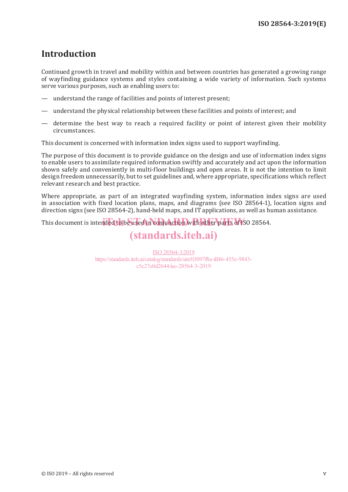### **Introduction**

Continued growth in travel and mobility within and between countries has generated a growing range of wayfinding guidance systems and styles containing a wide variety of information. Such systems serve various purposes, such as enabling users to:

- understand the range of facilities and points of interest present;
- understand the physical relationship between these facilities and points of interest; and
- determine the best way to reach a required facility or point of interest given their mobility circumstances.

This document is concerned with information index signs used to support wayfinding.

The purpose of this document is to provide guidance on the design and use of information index signs to enable users to assimilate required information swiftly and accurately and act upon the information shown safely and conveniently in multi-floor buildings and open areas. It is not the intention to limit design freedom unnecessarily, but to set guidelines and, where appropriate, specifications which reflect relevant research and best practice.

Where appropriate, as part of an integrated wayfinding system, information index signs are used in association with fixed location plans, maps, and diagrams (see ISO 28564-1), location signs and direction signs (see ISO 28564-2), hand-held maps, and IT applications, as well as human assistance.

This document is intended to be used in conjunction with other parts of ISO 28564.

# (standards.iteh.ai)

ISO 28564-3:2019 https://standards.iteh.ai/catalog/standards/sist/03097f8a-fd46-455e-9843 c5c27e0d2644/iso-28564-3-2019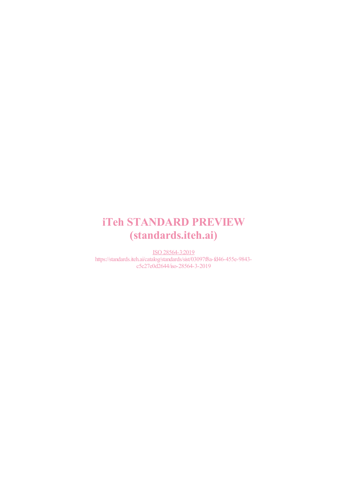# iTeh STANDARD PREVIEW (standards.iteh.ai)

ISO 28564-3:2019 https://standards.iteh.ai/catalog/standards/sist/03097f8a-fd46-455e-9843 c5c27e0d2644/iso-28564-3-2019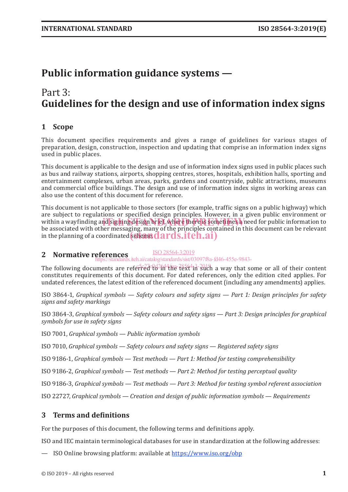# **Public information guidance systems —**

# Part 3: **Guidelines for the design and use of information index signs**

### **1 Scope**

This document specifies requirements and gives a range of guidelines for various stages of preparation, design, construction, inspection and updating that comprise an information index signs used in public places.

This document is applicable to the design and use of information index signs used in public places such as bus and railway stations, airports, shopping centres, stores, hospitals, exhibition halls, sporting and entertainment complexes, urban areas, parks, gardens and countryside, public attractions, museums and commercial office buildings. The design and use of information index signs in working areas can also use the content of this document for reference.

This document is not applicable to those sectors (for example, traffic signs on a public highway) which are subject to regulations or specified design principles. However, in a given public environment or within a wayfinding and signing design brief, where there is sometimes a need for public information to be associated with other messaging, many of the principles contained in this document can be relevant. be associated with other messaging, many of the principles contained in this document can be relevant be associated with other messaging, many of the principles contains in the planning of a coordinated **scheme. Cards.iteh.ai**)

### **2 Normative references** ISO 28564-3:2019

https://standards.iteh.ai/catalog/standards/sist/03097f8a-fd46-455e-9843-

The following documents are referred to in the text in such a way that some or all of their content constitutes requirements of this document. For dated references, only the edition cited applies. For undated references, the latest edition of the referenced document (including any amendments) applies.

ISO 3864-1, *Graphical symbols — Safety colours and safety signs — Part 1: Design principles for safety signs and safety markings*

ISO 3864-3, *Graphical symbols — Safety colours and safety signs — Part 3: Design principles for graphical symbols for use in safety signs*

ISO 7001, *Graphical symbols — Public information symbols*

ISO 7010, *Graphical symbols — Safety colours and safety signs — Registered safety signs*

ISO 9186-1, *Graphical symbols — Test methods — Part 1: Method for testing comprehensibility*

ISO 9186-2, *Graphical symbols — Test methods — Part 2: Method for testing perceptual quality*

ISO 9186-3, *Graphical symbols — Test methods — Part 3: Method for testing symbol referent association*

ISO 22727, *Graphical symbols — Creation and design of public information symbols — Requirements*

### **3 Terms and definitions**

For the purposes of this document, the following terms and definitions apply.

ISO and IEC maintain terminological databases for use in standardization at the following addresses:

— ISO Online browsing platform: available at https://www.iso.org/obp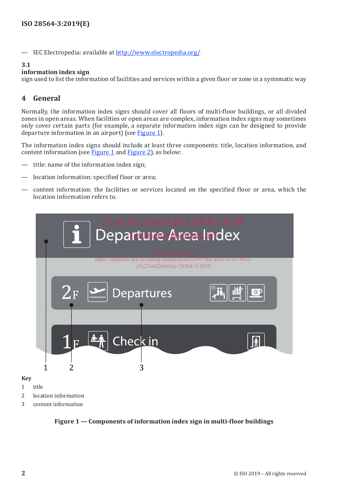— IEC Electropedia: available at http://www.electropedia.org/

#### **3.1**

#### **information index sign**

sign used to list the information of facilities and services within a given floor or zone in a systematic way

### **4 General**

Normally, the information index signs should cover all floors of multi-floor buildings, or all divided zones in open areas. When facilities or open areas are complex, information index signs may sometimes only cover certain parts (for example, a separate information index sign can be designed to provide departure information in an airport) (see Figure 1).

The information index signs should include at least three components: title, location information, and content information (see Figure 1 and Figure 2), as below:

- title: name of the information index sign;
- location information: specified floor or area;
- content information: the facilities or services located on the specified floor or area, which the location information refers to.



**Figure 1 — Components of information index sign in multi-floor buildings**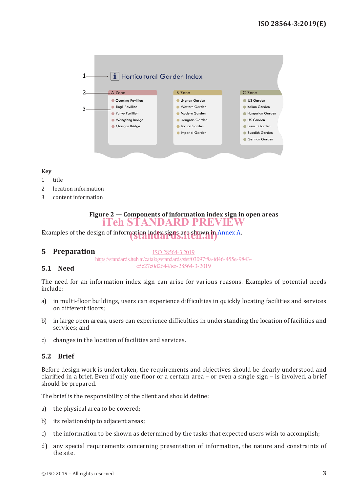

#### **Key**

- 1 title
- 2 location information
- 3 content information

#### **Figure 2 — Components of information index sign in open areas** iTeh STANDARD PREVIEW

Examples of the design of information index signs are shown in Annex A.

#### **5 Preparation**

ISO 28564-3:2019

https://standards.iteh.ai/catalog/standards/sist/03097f8a-fd46-455e-9843 c5c27e0d2644/iso-28564-3-2019

#### **5.1 Need**

The need for an information index sign can arise for various reasons. Examples of potential needs include:

- a) in multi-floor buildings, users can experience difficulties in quickly locating facilities and services on different floors;
- b) in large open areas, users can experience difficulties in understanding the location of facilities and services; and
- c) changes in the location of facilities and services.

#### **5.2 Brief**

Before design work is undertaken, the requirements and objectives should be clearly understood and clarified in a brief. Even if only one floor or a certain area – or even a single sign – is involved, a brief should be prepared.

The brief is the responsibility of the client and should define:

- a) the physical area to be covered;
- b) its relationship to adjacent areas;
- c) the information to be shown as determined by the tasks that expected users wish to accomplish;
- d) any special requirements concerning presentation of information, the nature and constraints of the site.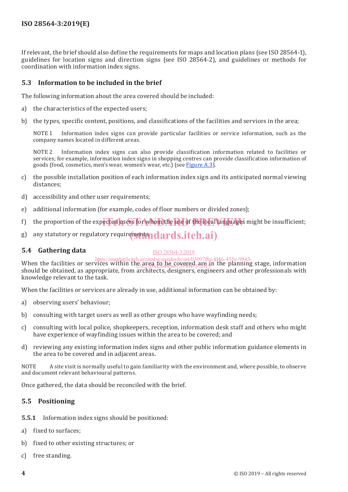If relevant, the brief should also define the requirements for maps and location plans (see ISO 28564-1), guidelines for location signs and direction signs (see ISO 28564-2), and guidelines or methods for coordination with information index signs.

#### **5.3 Information to be included in the brief**

The following information about the area covered should be included:

- a) the characteristics of the expected users;
- b) the types, specific content, positions, and classifications of the facilities and services in the area;

NOTE 1 Information index signs can provide particular facilities or service information, such as the company names located in different areas.

NOTE 2 Information index signs can also provide classification information related to facilities or services; for example, information index signs in shopping centres can provide classification information of goods (food, cosmetics, men's wear, women's wear, etc.) (see Figure A.3).

- c) the possible installation position of each information index sign and its anticipated normal viewing distances;
- d) accessibility and other user requirements;
- e) additional information (for example, codes of floor numbers or divided zones);
- f) the proportion of the expected users for whom the use of the local languages might be insufficient;
- g) any statutory or regulatory requirements  $\mathbf{dards.}$ ite $\mathbf{h}.\mathbf{ai})$

#### **5.4 Gathering data**

#### ISO 28564-3:2019

When the facilities or services within the area to be covered are in the planning stage, information should be obtained, as appropriate, from architects, designers, engineers and other professionals with knowledge relevant to the task. https://standards.iteh.ai/catalog/standards/sist/03097f8a-fd46-455e-9843 c5c27e0d2644/iso-28564-3-2019

When the facilities or services are already in use, additional information can be obtained by:

- a) observing users' behaviour;
- b) consulting with target users as well as other groups who have wayfinding needs;
- c) consulting with local police, shopkeepers, reception, information desk staff and others who might have experience of wayfinding issues within the area to be covered; and
- d) reviewing any existing information index signs and other public information guidance elements in the area to be covered and in adjacent areas.

NOTE A site visit is normally useful to gain familiarity with the environment and, where possible, to observe and document relevant behavioural patterns.

Once gathered, the data should be reconciled with the brief.

#### **5.5 Positioning**

- **5.5.1** Information index signs should be positioned:
- a) fixed to surfaces;
- b) fixed to other existing structures; or
- c) free standing.